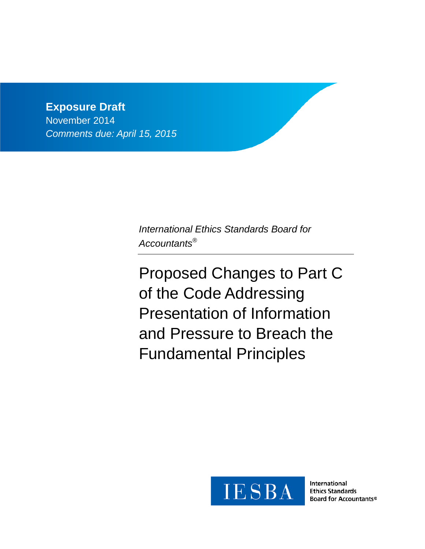**Exposure Draft** November 2014 *Comments due: April 15, 2015*

> *International Ethics Standards Board for Accountants®*

Proposed Changes to Part C of the Code Addressing Presentation of Information and Pressure to Breach the Fundamental Principles



International **Ethics Standards** Board for Accountants®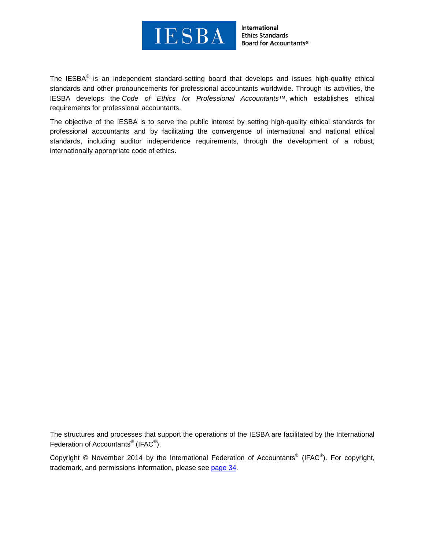

International **Ethics Standards Board for Accountants®** 

The IESBA® is an independent standard-setting board that develops and issues high-quality ethical standards and other pronouncements for professional accountants worldwide. Through its activities, the IESBA develops the *Code of Ethics for Professional Accountants™*, which establishes ethical requirements for professional accountants.

The objective of the IESBA is to serve the public interest by setting high-quality ethical standards for professional accountants and by facilitating the convergence of international and national ethical standards, including auditor independence requirements, through the development of a robust, internationally appropriate code of ethics.

The structures and processes that support the operations of the IESBA are facilitated by the International Federation of Accountants<sup>®</sup> (IFAC<sup>®</sup>).

Copyright © November 2014 by the International Federation of Accountants<sup>®</sup> (IFAC<sup>®</sup>). For copyright, trademark, and permissions information, please see [page 34.](#page-37-0)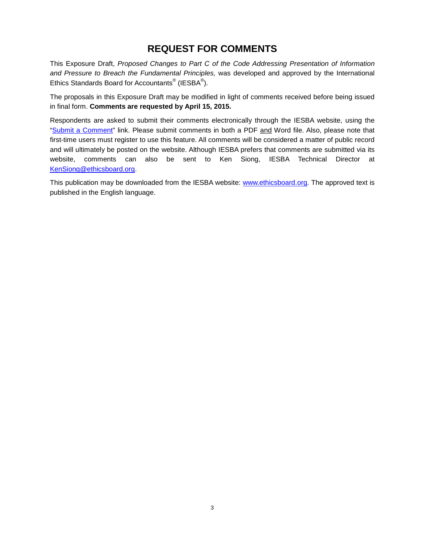# **REQUEST FOR COMMENTS**

This Exposure Draft, *Proposed Changes to Part C of the Code Addressing Presentation of Information and Pressure to Breach the Fundamental Principles,* was developed and approved by the International Ethics Standards Board for Accountants $^{\circledR}$  (IESBA $^{\circledR}$ ).

The proposals in this Exposure Draft may be modified in light of comments received before being issued in final form. **Comments are requested by April 15, 2015.**

Respondents are asked to submit their comments electronically through the IESBA website, using the ["Submit a Comment"](http://www.ifac.org/publications-resources/proposed-changes-part-c-code-addressing-presentation-information-and-pressure) link. Please submit comments in both a PDF and Word file. Also, please note that first-time users must register to use this feature. All comments will be considered a matter of public record and will ultimately be posted on the website. Although IESBA prefers that comments are submitted via its website, comments can also be sent to Ken Siong, IESBA Technical Director at [KenSiong@ethicsboard.org.](mailto:KenSiong@ethicsboard.org)

This publication may be downloaded from the IESBA website: [www.ethicsboard.org.](http://www.ethicsboard.org/) The approved text is published in the English language.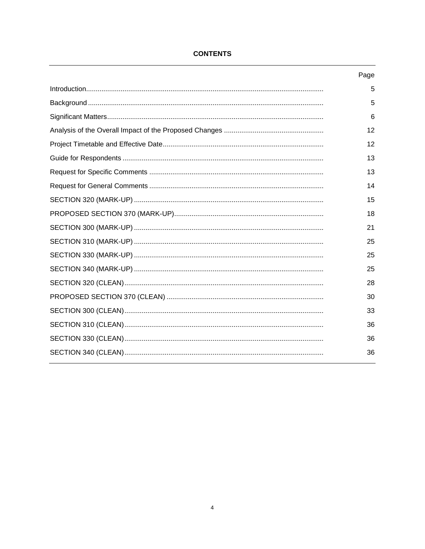| Page |
|------|
| 5    |
| 5    |
| 6    |
| 12   |
| 12   |
| 13   |
| 13   |
| 14   |
| 15   |
| 18   |
| 21   |
| 25   |
| 25   |
| 25   |
| 28   |
| 30   |
| 33   |
| 36   |
| 36   |
| 36   |
|      |

### **CONTENTS**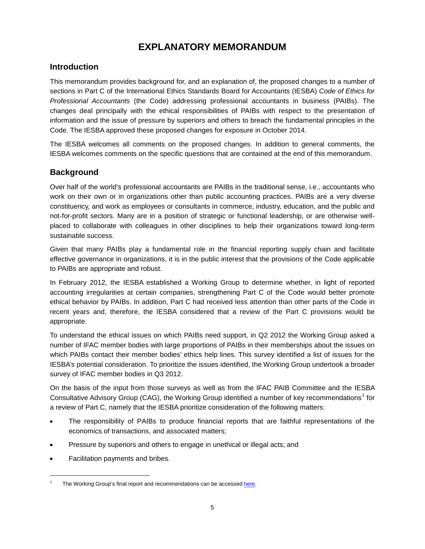# **EXPLANATORY MEMORANDUM**

# <span id="page-4-0"></span>**Introduction**

This memorandum provides background for, and an explanation of, the proposed changes to a number of sections in Part C of the International Ethics Standards Board for Accountants (IESBA) *Code of Ethics for Professional Accountants* (the Code) addressing professional accountants in business (PAIBs). The changes deal principally with the ethical responsibilities of PAIBs with respect to the presentation of information and the issue of pressure by superiors and others to breach the fundamental principles in the Code. The IESBA approved these proposed changes for exposure in October 2014.

The IESBA welcomes all comments on the proposed changes. In addition to general comments, the IESBA welcomes comments on the specific questions that are contained at the end of this memorandum.

## <span id="page-4-1"></span>**Background**

Over half of the world's professional accountants are PAIBs in the traditional sense, i.e., accountants who work on their own or in organizations other than public accounting practices. PAIBs are a very diverse constituency, and work as employees or consultants in commerce, industry, education, and the public and not-for-profit sectors. Many are in a position of strategic or functional leadership, or are otherwise wellplaced to collaborate with colleagues in other disciplines to help their organizations toward long-term sustainable success.

Given that many PAIBs play a fundamental role in the financial reporting supply chain and facilitate effective governance in organizations, it is in the public interest that the provisions of the Code applicable to PAIBs are appropriate and robust.

In February 2012, the IESBA established a Working Group to determine whether, in light of reported accounting irregularities at certain companies, strengthening Part C of the Code would better promote ethical behavior by PAIBs. In addition, Part C had received less attention than other parts of the Code in recent years and, therefore, the IESBA considered that a review of the Part C provisions would be appropriate.

To understand the ethical issues on which PAIBs need support, in Q2 2012 the Working Group asked a number of IFAC member bodies with large proportions of PAIBs in their memberships about the issues on which PAIBs contact their member bodies' ethics help lines. This survey identified a list of issues for the IESBA's potential consideration. To prioritize the issues identified, the Working Group undertook a broader survey of IFAC member bodies in Q3 2012.

On the basis of the input from those surveys as well as from the IFAC PAIB Committee and the IESBA Consultative Advisory Group (CAG), the Working Group identified a number of key recommendations<sup>[1](#page-4-2)</sup> for a review of Part C, namely that the IESBA prioritize consideration of the following matters:

- The responsibility of PAIBs to produce financial reports that are faithful representations of the economics of transactions, and associated matters;
- Pressure by superiors and others to engage in unethical or illegal acts; and
- Facilitation payments and bribes.

 $\overline{\phantom{a}}$ 

<span id="page-4-2"></span>The Working Group's final report and recommendations can be accessed here.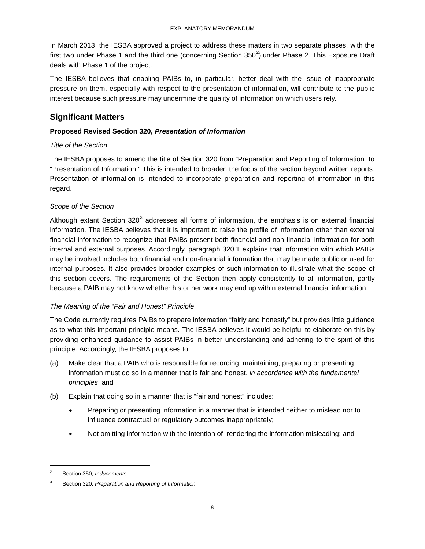In March 2013, the IESBA approved a project to address these matters in two separate phases, with the first two under Phase 1 and the third one (concerning Section 350<sup>[2](#page-5-1)</sup>) under Phase 2. This Exposure Draft deals with Phase 1 of the project.

The IESBA believes that enabling PAIBs to, in particular, better deal with the issue of inappropriate pressure on them, especially with respect to the presentation of information, will contribute to the public interest because such pressure may undermine the quality of information on which users rely.

# <span id="page-5-0"></span>**Significant Matters**

### **Proposed Revised Section 320,** *Presentation of Information*

## *Title of the Section*

The IESBA proposes to amend the title of Section 320 from "Preparation and Reporting of Information" to "Presentation of Information." This is intended to broaden the focus of the section beyond written reports. Presentation of information is intended to incorporate preparation and reporting of information in this regard.

## *Scope of the Section*

Although extant Section  $320<sup>3</sup>$  $320<sup>3</sup>$  addresses all forms of information, the emphasis is on external financial information. The IESBA believes that it is important to raise the profile of information other than external financial information to recognize that PAIBs present both financial and non-financial information for both internal and external purposes. Accordingly, paragraph 320.1 explains that information with which PAIBs may be involved includes both financial and non-financial information that may be made public or used for internal purposes. It also provides broader examples of such information to illustrate what the scope of this section covers. The requirements of the Section then apply consistently to all information, partly because a PAIB may not know whether his or her work may end up within external financial information.

## *The Meaning of the "Fair and Honest" Principle*

The Code currently requires PAIBs to prepare information "fairly and honestly" but provides little guidance as to what this important principle means. The IESBA believes it would be helpful to elaborate on this by providing enhanced guidance to assist PAIBs in better understanding and adhering to the spirit of this principle. Accordingly, the IESBA proposes to:

- (a) Make clear that a PAIB who is responsible for recording, maintaining, preparing or presenting information must do so in a manner that is fair and honest, *in accordance with the fundamental principles*; and
- (b) Explain that doing so in a manner that is "fair and honest" includes:
	- Preparing or presenting information in a manner that is intended neither to mislead nor to influence contractual or regulatory outcomes inappropriately;
	- Not omitting information with the intention of rendering the information misleading; and

 $\overline{\phantom{a}}$ 

<span id="page-5-1"></span><sup>2</sup> Section 350, *Inducements*

<span id="page-5-2"></span><sup>3</sup> Section 320, *Preparation and Reporting of Information*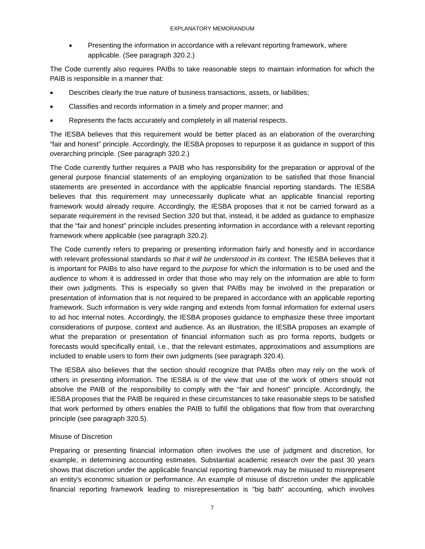• Presenting the information in accordance with a relevant reporting framework, where applicable. (See paragraph 320.2.)

The Code currently also requires PAIBs to take reasonable steps to maintain information for which the PAIB is responsible in a manner that:

- Describes clearly the true nature of business transactions, assets, or liabilities;
- Classifies and records information in a timely and proper manner; and
- Represents the facts accurately and completely in all material respects.

The IESBA believes that this requirement would be better placed as an elaboration of the overarching "fair and honest" principle. Accordingly, the IESBA proposes to repurpose it as guidance in support of this overarching principle. (See paragraph 320.2.)

The Code currently further requires a PAIB who has responsibility for the preparation or approval of the general purpose financial statements of an employing organization to be satisfied that those financial statements are presented in accordance with the applicable financial reporting standards. The IESBA believes that this requirement may unnecessarily duplicate what an applicable financial reporting framework would already require. Accordingly, the IESBA proposes that it not be carried forward as a separate requirement in the revised Section 320 but that, instead, it be added as guidance to emphasize that the "fair and honest" principle includes presenting information in accordance with a relevant reporting framework where applicable (see paragraph 320.2).

The Code currently refers to preparing or presenting information fairly and honestly and in accordance with relevant professional standards *so that it will be understood in its context*. The IESBA believes that it is important for PAIBs to also have regard to the *purpose* for which the information is to be used and the *audience* to whom it is addressed in order that those who may rely on the information are able to form their own judgments. This is especially so given that PAIBs may be involved in the preparation or presentation of information that is not required to be prepared in accordance with an applicable reporting framework. Such information is very wide ranging and extends from formal information for external users to ad hoc internal notes. Accordingly, the IESBA proposes guidance to emphasize these three important considerations of purpose, context and audience. As an illustration, the IESBA proposes an example of what the preparation or presentation of financial information such as pro forma reports, budgets or forecasts would specifically entail, i.e., that the relevant estimates, approximations and assumptions are included to enable users to form their own judgments (see paragraph 320.4).

The IESBA also believes that the section should recognize that PAIBs often may rely on the work of others in presenting information. The IESBA is of the view that use of the work of others should not absolve the PAIB of the responsibility to comply with the "fair and honest" principle. Accordingly, the IESBA proposes that the PAIB be required in these circumstances to take reasonable steps to be satisfied that work performed by others enables the PAIB to fulfill the obligations that flow from that overarching principle (see paragraph 320.5).

#### Misuse of Discretion

Preparing or presenting financial information often involves the use of judgment and discretion, for example, in determining accounting estimates. Substantial academic research over the past 30 years shows that discretion under the applicable financial reporting framework may be misused to misrepresent an entity's economic situation or performance. An example of misuse of discretion under the applicable financial reporting framework leading to misrepresentation is "big bath" accounting, which involves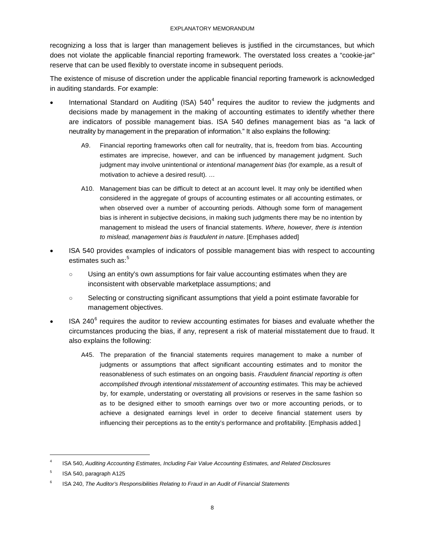recognizing a loss that is larger than management believes is justified in the circumstances, but which does not violate the applicable financial reporting framework. The overstated loss creates a "cookie-jar" reserve that can be used flexibly to overstate income in subsequent periods.

The existence of misuse of discretion under the applicable financial reporting framework is acknowledged in auditing standards. For example:

- International Standard on Auditing (ISA)  $540<sup>4</sup>$  $540<sup>4</sup>$  $540<sup>4</sup>$  requires the auditor to review the judgments and decisions made by management in the making of accounting estimates to identify whether there are indicators of possible management bias. ISA 540 defines management bias as "a lack of neutrality by management in the preparation of information." It also explains the following:
	- A9. Financial reporting frameworks often call for neutrality, that is, freedom from bias. Accounting estimates are imprecise, however, and can be influenced by management judgment. Such judgment may involve unintentional or *intentional management bias* (for example, as a result of motivation to achieve a desired result). …
	- A10. Management bias can be difficult to detect at an account level. It may only be identified when considered in the aggregate of groups of accounting estimates or all accounting estimates, or when observed over a number of accounting periods. Although some form of management bias is inherent in subjective decisions, in making such judgments there may be no intention by management to mislead the users of financial statements. *Where, however, there is intention to mislead, management bias is fraudulent in nature*. [Emphases added]
- ISA 540 provides examples of indicators of possible management bias with respect to accounting estimates such as: [5](#page-7-1)
	- Using an entity's own assumptions for fair value accounting estimates when they are inconsistent with observable marketplace assumptions; and
	- Selecting or constructing significant assumptions that yield a point estimate favorable for management objectives.
- ISA 240 $<sup>6</sup>$  $<sup>6</sup>$  $<sup>6</sup>$  requires the auditor to review accounting estimates for biases and evaluate whether the</sup> circumstances producing the bias, if any, represent a risk of material misstatement due to fraud. It also explains the following:
	- A45. The preparation of the financial statements requires management to make a number of judgments or assumptions that affect significant accounting estimates and to monitor the reasonableness of such estimates on an ongoing basis. *Fraudulent financial reporting is often accomplished through intentional misstatement of accounting estimates.* This may be achieved by, for example, understating or overstating all provisions or reserves in the same fashion so as to be designed either to smooth earnings over two or more accounting periods, or to achieve a designated earnings level in order to deceive financial statement users by influencing their perceptions as to the entity's performance and profitability. [Emphasis added.]

 $\overline{\phantom{a}}$ 

<span id="page-7-0"></span><sup>4</sup> ISA 540, *Auditing Accounting Estimates, Including Fair Value Accounting Estimates, and Related Disclosures*

<span id="page-7-1"></span><sup>5</sup> ISA 540, paragraph A125

<span id="page-7-2"></span><sup>6</sup> ISA 240, *The Auditor's Responsibilities Relating to Fraud in an Audit of Financial Statements*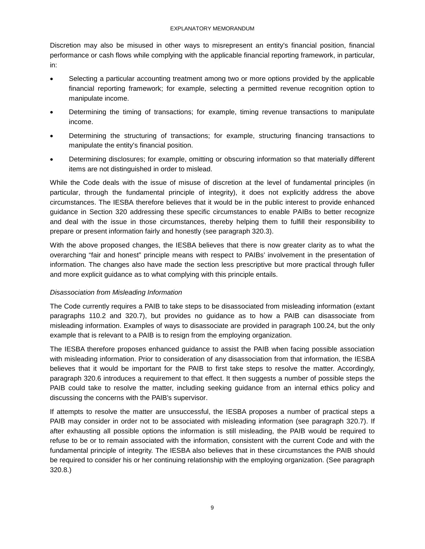Discretion may also be misused in other ways to misrepresent an entity's financial position, financial performance or cash flows while complying with the applicable financial reporting framework, in particular, in:

- Selecting a particular accounting treatment among two or more options provided by the applicable financial reporting framework; for example, selecting a permitted revenue recognition option to manipulate income.
- Determining the timing of transactions; for example, timing revenue transactions to manipulate income.
- Determining the structuring of transactions; for example, structuring financing transactions to manipulate the entity's financial position.
- Determining disclosures; for example, omitting or obscuring information so that materially different items are not distinguished in order to mislead.

While the Code deals with the issue of misuse of discretion at the level of fundamental principles (in particular, through the fundamental principle of integrity), it does not explicitly address the above circumstances. The IESBA therefore believes that it would be in the public interest to provide enhanced guidance in Section 320 addressing these specific circumstances to enable PAIBs to better recognize and deal with the issue in those circumstances, thereby helping them to fulfill their responsibility to prepare or present information fairly and honestly (see paragraph 320.3).

With the above proposed changes, the IESBA believes that there is now greater clarity as to what the overarching "fair and honest" principle means with respect to PAIBs' involvement in the presentation of information. The changes also have made the section less prescriptive but more practical through fuller and more explicit guidance as to what complying with this principle entails.

### *Disassociation from Misleading Information*

The Code currently requires a PAIB to take steps to be disassociated from misleading information (extant paragraphs 110.2 and 320.7), but provides no guidance as to how a PAIB can disassociate from misleading information. Examples of ways to disassociate are provided in paragraph 100.24, but the only example that is relevant to a PAIB is to resign from the employing organization.

The IESBA therefore proposes enhanced guidance to assist the PAIB when facing possible association with misleading information. Prior to consideration of any disassociation from that information, the IESBA believes that it would be important for the PAIB to first take steps to resolve the matter. Accordingly, paragraph 320.6 introduces a requirement to that effect. It then suggests a number of possible steps the PAIB could take to resolve the matter, including seeking guidance from an internal ethics policy and discussing the concerns with the PAIB's supervisor.

If attempts to resolve the matter are unsuccessful, the IESBA proposes a number of practical steps a PAIB may consider in order not to be associated with misleading information (see paragraph 320.7). If after exhausting all possible options the information is still misleading, the PAIB would be required to refuse to be or to remain associated with the information, consistent with the current Code and with the fundamental principle of integrity. The IESBA also believes that in these circumstances the PAIB should be required to consider his or her continuing relationship with the employing organization. (See paragraph 320.8.)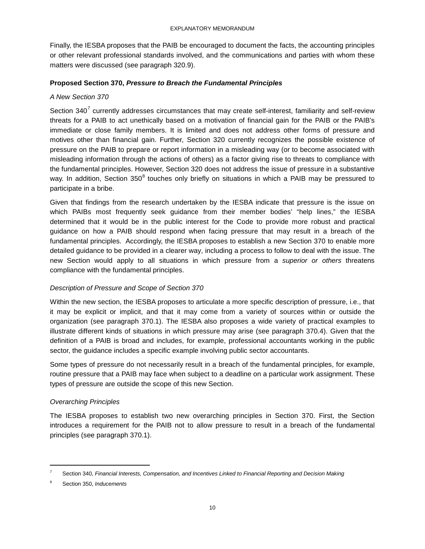Finally, the IESBA proposes that the PAIB be encouraged to document the facts, the accounting principles or other relevant professional standards involved, and the communications and parties with whom these matters were discussed (see paragraph 320.9).

#### **Proposed Section 370,** *Pressure to Breach the Fundamental Principles*

#### *A New Section 370*

Section  $340<sup>7</sup>$  $340<sup>7</sup>$  $340<sup>7</sup>$  currently addresses circumstances that may create self-interest, familiarity and self-review threats for a PAIB to act unethically based on a motivation of financial gain for the PAIB or the PAIB's immediate or close family members. It is limited and does not address other forms of pressure and motives other than financial gain. Further, Section 320 currently recognizes the possible existence of pressure on the PAIB to prepare or report information in a misleading way (or to become associated with misleading information through the actions of others) as a factor giving rise to threats to compliance with the fundamental principles. However, Section 320 does not address the issue of pressure in a substantive way. In addition, Section 350<sup>[8](#page-9-1)</sup> touches only briefly on situations in which a PAIB may be pressured to participate in a bribe.

Given that findings from the research undertaken by the IESBA indicate that pressure is the issue on which PAIBs most frequently seek guidance from their member bodies' "help lines," the IESBA determined that it would be in the public interest for the Code to provide more robust and practical guidance on how a PAIB should respond when facing pressure that may result in a breach of the fundamental principles. Accordingly, the IESBA proposes to establish a new Section 370 to enable more detailed guidance to be provided in a clearer way, including a process to follow to deal with the issue. The new Section would apply to all situations in which pressure from a *superior or others* threatens compliance with the fundamental principles.

### *Description of Pressure and Scope of Section 370*

Within the new section, the IESBA proposes to articulate a more specific description of pressure, i.e., that it may be explicit or implicit, and that it may come from a variety of sources within or outside the organization (see paragraph 370.1). The IESBA also proposes a wide variety of practical examples to illustrate different kinds of situations in which pressure may arise (see paragraph 370.4). Given that the definition of a PAIB is broad and includes, for example, professional accountants working in the public sector, the guidance includes a specific example involving public sector accountants.

Some types of pressure do not necessarily result in a breach of the fundamental principles, for example, routine pressure that a PAIB may face when subject to a deadline on a particular work assignment. These types of pressure are outside the scope of this new Section.

### *Overarching Principles*

The IESBA proposes to establish two new overarching principles in Section 370. First, the Section introduces a requirement for the PAIB not to allow pressure to result in a breach of the fundamental principles (see paragraph 370.1).

 $\overline{\phantom{a}}$ 

<span id="page-9-0"></span><sup>7</sup> Section 340, *Financial Interests, Compensation, and Incentives Linked to Financial Reporting and Decision Making*

<span id="page-9-1"></span><sup>8</sup> Section 350, *Inducements*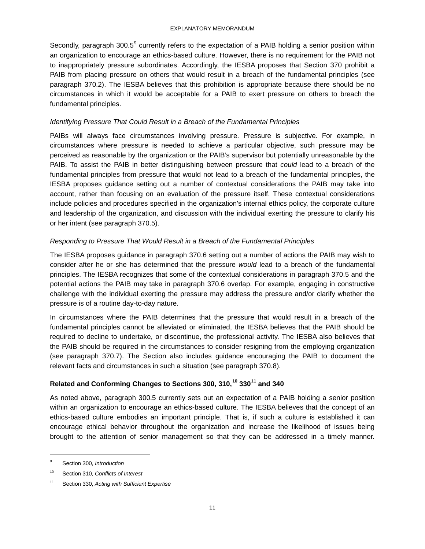Secondly, paragraph  $300.5^9$  $300.5^9$  currently refers to the expectation of a PAIB holding a senior position within an organization to encourage an ethics-based culture. However, there is no requirement for the PAIB not to inappropriately pressure subordinates. Accordingly, the IESBA proposes that Section 370 prohibit a PAIB from placing pressure on others that would result in a breach of the fundamental principles (see paragraph 370.2). The IESBA believes that this prohibition is appropriate because there should be no circumstances in which it would be acceptable for a PAIB to exert pressure on others to breach the fundamental principles.

#### *Identifying Pressure That Could Result in a Breach of the Fundamental Principles*

PAIBs will always face circumstances involving pressure. Pressure is subjective. For example, in circumstances where pressure is needed to achieve a particular objective, such pressure may be perceived as reasonable by the organization or the PAIB's supervisor but potentially unreasonable by the PAIB. To assist the PAIB in better distinguishing between pressure that *could* lead to a breach of the fundamental principles from pressure that would not lead to a breach of the fundamental principles, the IESBA proposes guidance setting out a number of contextual considerations the PAIB may take into account, rather than focusing on an evaluation of the pressure itself. These contextual considerations include policies and procedures specified in the organization's internal ethics policy, the corporate culture and leadership of the organization, and discussion with the individual exerting the pressure to clarify his or her intent (see paragraph 370.5).

#### *Responding to Pressure That Would Result in a Breach of the Fundamental Principles*

The IESBA proposes guidance in paragraph 370.6 setting out a number of actions the PAIB may wish to consider after he or she has determined that the pressure *would* lead to a breach of the fundamental principles. The IESBA recognizes that some of the contextual considerations in paragraph 370.5 and the potential actions the PAIB may take in paragraph 370.6 overlap. For example, engaging in constructive challenge with the individual exerting the pressure may address the pressure and/or clarify whether the pressure is of a routine day-to-day nature.

In circumstances where the PAIB determines that the pressure that would result in a breach of the fundamental principles cannot be alleviated or eliminated, the IESBA believes that the PAIB should be required to decline to undertake, or discontinue, the professional activity. The IESBA also believes that the PAIB should be required in the circumstances to consider resigning from the employing organization (see paragraph 370.7). The Section also includes guidance encouraging the PAIB to document the relevant facts and circumstances in such a situation (see paragraph 370.8).

## **Related and Conforming Changes to Sections 300, 310,[10](#page-10-1) 330**[11](#page-10-2) **and 340**

As noted above, paragraph 300.5 currently sets out an expectation of a PAIB holding a senior position within an organization to encourage an ethics-based culture. The IESBA believes that the concept of an ethics-based culture embodies an important principle. That is, if such a culture is established it can encourage ethical behavior throughout the organization and increase the likelihood of issues being brought to the attention of senior management so that they can be addressed in a timely manner.

 $\overline{\phantom{a}}$ 

<span id="page-10-0"></span><sup>9</sup> Section 300, *Introduction*

<span id="page-10-1"></span><sup>10</sup> Section 310, *Conflicts of Interest*

<span id="page-10-2"></span><sup>11</sup> Section 330, *Acting with Sufficient Expertise*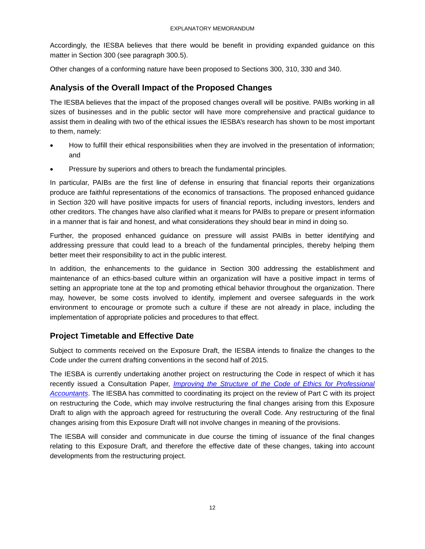Accordingly, the IESBA believes that there would be benefit in providing expanded guidance on this matter in Section 300 (see paragraph 300.5).

<span id="page-11-0"></span>Other changes of a conforming nature have been proposed to Sections 300, 310, 330 and 340.

# **Analysis of the Overall Impact of the Proposed Changes**

The IESBA believes that the impact of the proposed changes overall will be positive. PAIBs working in all sizes of businesses and in the public sector will have more comprehensive and practical guidance to assist them in dealing with two of the ethical issues the IESBA's research has shown to be most important to them, namely:

- How to fulfill their ethical responsibilities when they are involved in the presentation of information; and
- Pressure by superiors and others to breach the fundamental principles.

In particular, PAIBs are the first line of defense in ensuring that financial reports their organizations produce are faithful representations of the economics of transactions. The proposed enhanced guidance in Section 320 will have positive impacts for users of financial reports, including investors, lenders and other creditors. The changes have also clarified what it means for PAIBs to prepare or present information in a manner that is fair and honest, and what considerations they should bear in mind in doing so.

Further, the proposed enhanced guidance on pressure will assist PAIBs in better identifying and addressing pressure that could lead to a breach of the fundamental principles, thereby helping them better meet their responsibility to act in the public interest.

In addition, the enhancements to the guidance in Section 300 addressing the establishment and maintenance of an ethics-based culture within an organization will have a positive impact in terms of setting an appropriate tone at the top and promoting ethical behavior throughout the organization. There may, however, be some costs involved to identify, implement and oversee safeguards in the work environment to encourage or promote such a culture if these are not already in place, including the implementation of appropriate policies and procedures to that effect.

## <span id="page-11-1"></span>**Project Timetable and Effective Date**

Subject to comments received on the Exposure Draft, the IESBA intends to finalize the changes to the Code under the current drafting conventions in the second half of 2015.

The IESBA is currently undertaking another project on restructuring the Code in respect of which it has recently issued a Consultation Paper, *[Improving the Structure of the Code of Ethics for Professional](http://www.ifac.org/publications-resources/improving-structure-code-ethics-professional-accountants)  [Accountants](http://www.ifac.org/publications-resources/improving-structure-code-ethics-professional-accountants)*. The IESBA has committed to coordinating its project on the review of Part C with its project on restructuring the Code, which may involve restructuring the final changes arising from this Exposure Draft to align with the approach agreed for restructuring the overall Code. Any restructuring of the final changes arising from this Exposure Draft will not involve changes in meaning of the provisions.

The IESBA will consider and communicate in due course the timing of issuance of the final changes relating to this Exposure Draft, and therefore the effective date of these changes, taking into account developments from the restructuring project.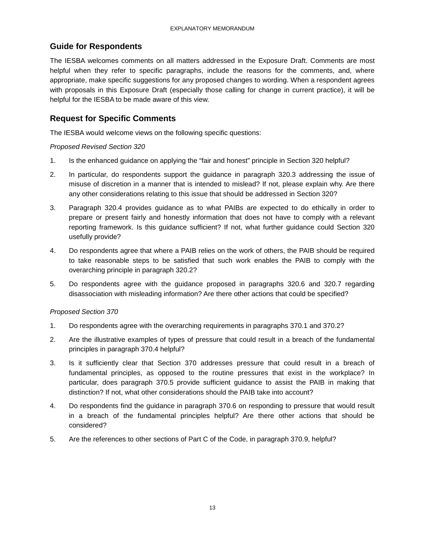# <span id="page-12-0"></span>**Guide for Respondents**

The IESBA welcomes comments on all matters addressed in the Exposure Draft. Comments are most helpful when they refer to specific paragraphs, include the reasons for the comments, and, where appropriate, make specific suggestions for any proposed changes to wording. When a respondent agrees with proposals in this Exposure Draft (especially those calling for change in current practice), it will be helpful for the IESBA to be made aware of this view.

## <span id="page-12-1"></span>**Request for Specific Comments**

The IESBA would welcome views on the following specific questions:

#### *Proposed Revised Section 320*

- 1. Is the enhanced guidance on applying the "fair and honest" principle in Section 320 helpful?
- 2. In particular, do respondents support the guidance in paragraph 320.3 addressing the issue of misuse of discretion in a manner that is intended to mislead? If not, please explain why. Are there any other considerations relating to this issue that should be addressed in Section 320?
- 3. Paragraph 320.4 provides guidance as to what PAIBs are expected to do ethically in order to prepare or present fairly and honestly information that does not have to comply with a relevant reporting framework. Is this guidance sufficient? If not, what further guidance could Section 320 usefully provide?
- 4. Do respondents agree that where a PAIB relies on the work of others, the PAIB should be required to take reasonable steps to be satisfied that such work enables the PAIB to comply with the overarching principle in paragraph 320.2?
- 5. Do respondents agree with the guidance proposed in paragraphs 320.6 and 320.7 regarding disassociation with misleading information? Are there other actions that could be specified?

### *Proposed Section 370*

- 1. Do respondents agree with the overarching requirements in paragraphs 370.1 and 370.2?
- 2. Are the illustrative examples of types of pressure that could result in a breach of the fundamental principles in paragraph 370.4 helpful?
- 3. Is it sufficiently clear that Section 370 addresses pressure that could result in a breach of fundamental principles, as opposed to the routine pressures that exist in the workplace? In particular, does paragraph 370.5 provide sufficient guidance to assist the PAIB in making that distinction? If not, what other considerations should the PAIB take into account?
- 4. Do respondents find the guidance in paragraph 370.6 on responding to pressure that would result in a breach of the fundamental principles helpful? Are there other actions that should be considered?
- 5. Are the references to other sections of Part C of the Code, in paragraph 370.9, helpful?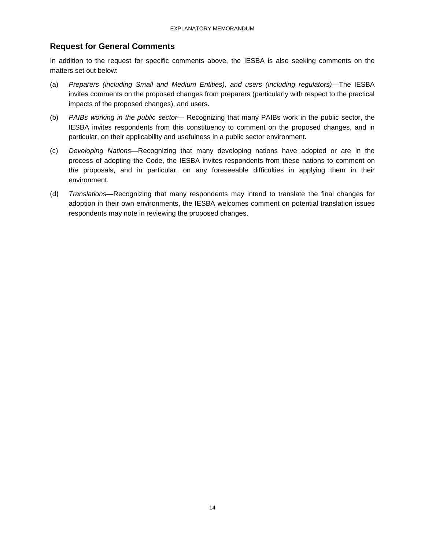# <span id="page-13-0"></span>**Request for General Comments**

In addition to the request for specific comments above, the IESBA is also seeking comments on the matters set out below:

- (a) *Preparers (including Small and Medium Entities), and users (including regulators)*—The IESBA invites comments on the proposed changes from preparers (particularly with respect to the practical impacts of the proposed changes), and users.
- (b) *PAIBs working in the public sector* Recognizing that many PAIBs work in the public sector, the IESBA invites respondents from this constituency to comment on the proposed changes, and in particular, on their applicability and usefulness in a public sector environment.
- (c) *Developing Nations*—Recognizing that many developing nations have adopted or are in the process of adopting the Code, the IESBA invites respondents from these nations to comment on the proposals, and in particular, on any foreseeable difficulties in applying them in their environment.
- (d) *Translations*—Recognizing that many respondents may intend to translate the final changes for adoption in their own environments, the IESBA welcomes comment on potential translation issues respondents may note in reviewing the proposed changes.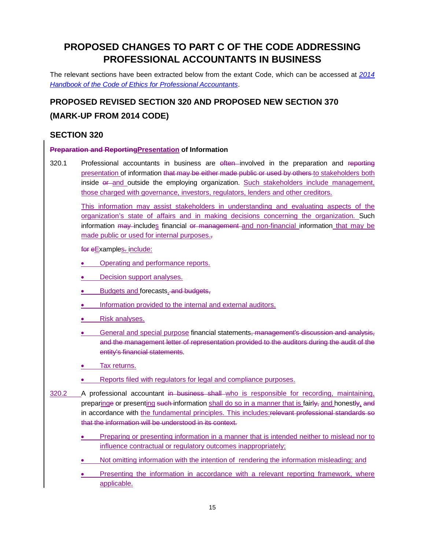# **PROPOSED CHANGES TO PART C OF THE CODE ADDRESSING PROFESSIONAL ACCOUNTANTS IN BUSINESS**

The relevant sections have been extracted below from the extant Code, which can be accessed at *[2014](https://www.ifac.org/publications-resources/2014-handbook-code-ethics-professional-accountants)  [Handbook of the Code of Ethics for Professional Accountants](https://www.ifac.org/publications-resources/2014-handbook-code-ethics-professional-accountants)*.

# **PROPOSED REVISED SECTION 320 AND PROPOSED NEW SECTION 370 (MARK-UP FROM 2014 CODE)**

# <span id="page-14-0"></span>**SECTION 320**

### **Preparation and ReportingPresentation of Information**

320.1 Professional accountants in business are eften involved in the preparation and reporting presentation of information that may be either made public or used by others to stakeholders both inside  $er$ -and outside the employing organization. Such stakeholders include management, those charged with governance, investors, regulators, lenders and other creditors*.*

This information may assist stakeholders in understanding and evaluating aspects of the organization's state of affairs and in making decisions concerning the organization. Such information may includes financial or management and non-financial information that may be made public or used for internal purposes.,

for eExamples. include:

- Operating and performance reports.
- Decision support analyses.
- Budgets and forecasts. and budgets,
- Information provided to the internal and external auditors.
- Risk analyses.
- General and special purpose financial statements, management's discussion and analysis, and the management letter of representation provided to the auditors during the audit of the entity's financial statements.
- Tax returns.
- Reports filed with regulators for legal and compliance purposes.
- 320.2 A professional accountant in business shall who is responsible for recording, maintaining, preparinge or presenting such information shall do so in a manner that is fairly, and honestly, and in accordance with the fundamental principles. This includes:relevant professional standards so that the information will be understood in its context.
	- Preparing or presenting information in a manner that is intended neither to mislead nor to influence contractual or regulatory outcomes inappropriately;
	- Not omitting information with the intention of rendering the information misleading; and
	- Presenting the information in accordance with a relevant reporting framework, where applicable.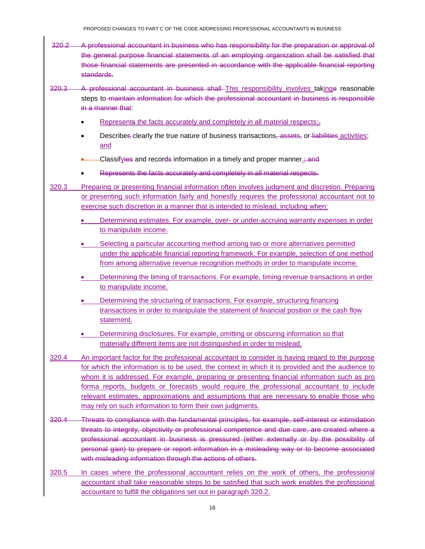- 320.2 A professional accountant in business who has responsibility for the preparation or approval of the general purpose financial statements of an employing organization shall be satisfied that those financial statements are presented in accordance with the applicable financial reporting standards.
- 320.3 A professional accountant in business shall This responsibility involves takinge reasonable steps to maintain information for which the professional accountant in business is responsible in a manner that
	- Represents the facts accurately and completely in all material respects;
	- Describes clearly the true nature of business transactions, assets, or liabilities activities; and
	- Classifyies and records information in a timely and proper manner.; and
	- Represents the facts accurately and completely in all material respects.
- 320.3 Preparing or presenting financial information often involves judgment and discretion. Preparing or presenting such information fairly and honestly requires the professional accountant not to exercise such discretion in a manner that is intended to mislead, including when:
	- Determining estimates. For example, over- or under-accruing warranty expenses in order to manipulate income.
	- Selecting a particular accounting method among two or more alternatives permitted under the applicable financial reporting framework. For example, selection of one method from among alternative revenue recognition methods in order to manipulate income.
	- Determining the timing of transactions. For example, timing revenue transactions in order to manipulate income.
	- Determining the structuring of transactions. For example, structuring financing transactions in order to manipulate the statement of financial position or the cash flow statement.
	- Determining disclosures. For example, omitting or obscuring information so that materially different items are not distinguished in order to mislead.
- 320.4 An important factor for the professional accountant to consider is having regard to the purpose for which the information is to be used, the context in which it is provided and the audience to whom it is addressed. For example, preparing or presenting financial information such as pro forma reports, budgets or forecasts would require the professional accountant to include relevant estimates, approximations and assumptions that are necessary to enable those who may rely on such information to form their own judgments.
- 320.4 Threats to compliance with the fundamental principles, for example, self-interest or intimidation threats to integrity, objectivity or professional competence and due care, are created where a professional accountant in business is pressured (either externally or by the possibility of personal gain) to prepare or report information in a misleading way or to become associated with misleading information through the actions of others.
- 320.5 In cases where the professional accountant relies on the work of others, the professional accountant shall take reasonable steps to be satisfied that such work enables the professional accountant to fulfill the obligations set out in paragraph 320.2.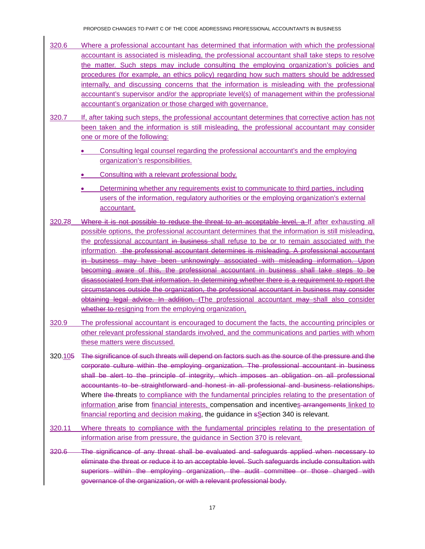- 320.6 Where a professional accountant has determined that information with which the professional accountant is associated is misleading, the professional accountant shall take steps to resolve the matter. Such steps may include consulting the employing organization's policies and procedures (for example, an ethics policy) regarding how such matters should be addressed internally, and discussing concerns that the information is misleading with the professional accountant's supervisor and/or the appropriate level(s) of management within the professional accountant's organization or those charged with governance.
- 320.7 If, after taking such steps, the professional accountant determines that corrective action has not been taken and the information is still misleading, the professional accountant may consider one or more of the following:
	- Consulting legal counsel regarding the professional accountant's and the employing organization's responsibilities.
	- Consulting with a relevant professional body.
	- Determining whether any requirements exist to communicate to third parties, including users of the information, regulatory authorities or the employing organization's external accountant.
- 320.78 Where it is not possible to reduce the threat to an acceptable level, a If after exhausting all possible options, the professional accountant determines that the information is still misleading, the professional accountant in business shall refuse to be or to remain associated with the information. the professional accountant determines is misleading. A professional accountant in business may have been unknowingly associated with misleading information. Upon becoming aware of this, the professional accountant in business shall take steps to be disassociated from that information. In determining whether there is a requirement to report the circumstances outside the organization, the professional accountant in business may consider obtaining legal advice. In addition, tThe professional accountant may shall also consider whether to resigning from the employing organization.
- 320.9 The professional accountant is encouraged to document the facts, the accounting principles or other relevant professional standards involved, and the communications and parties with whom these matters were discussed.
- 320.105 The significance of such threats will depend on factors such as the source of the pressure and the corporate culture within the employing organization. The professional accountant in business shall be alert to the principle of integrity, which imposes an obligation on all professional accountants to be straightforward and honest in all professional and business relationships. Where the threats to compliance with the fundamental principles relating to the presentation of information arise from financial interests, compensation and incentives arrangements linked to financial reporting and decision making, the guidance in sSection 340 is relevant.
- 320.11 Where threats to compliance with the fundamental principles relating to the presentation of information arise from pressure, the guidance in Section 370 is relevant.
- 320.6 The significance of any threat shall be evaluated and safeguards applied when necessary to eliminate the threat or reduce it to an acceptable level. Such safeguards include consultation with superiors within the employing organization, the audit committee or those charged with governance of the organization, or with a relevant professional body.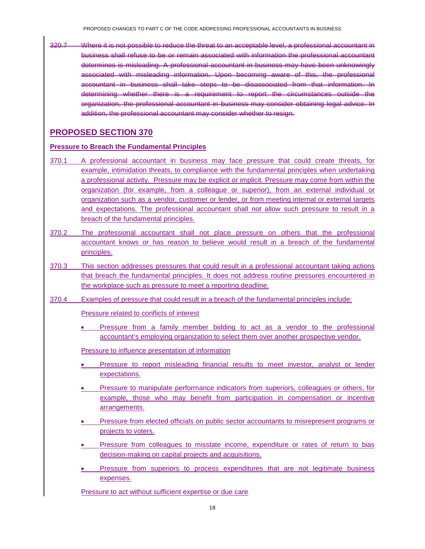320.7 Where it is not possible to reduce the threat to an acceptable level, a professional accountant in business shall refuse to be or remain associated with information the professional accountant determines is misleading. A professional accountant in business may have been unknowingly associated with misleading information. Upon becoming aware of this, the professional accountant in business shall take steps to be disassociated from that information. In determining whether there is a requirement to report the circumstances outside the organization, the professional accountant in business may consider obtaining legal advice. In addition, the professional accountant may consider whether to resign.

## <span id="page-17-0"></span>**PROPOSED SECTION 370**

#### **Pressure to Breach the Fundamental Principles**

- 370.1 A professional accountant in business may face pressure that could create threats, for example, intimidation threats, to compliance with the fundamental principles when undertaking a professional activity. Pressure may be explicit or implicit. Pressure may come from within the organization (for example, from a colleague or superior), from an external individual or organization such as a vendor, customer or lender, or from meeting internal or external targets and expectations. The professional accountant shall not allow such pressure to result in a breach of the fundamental principles.
- 370.2 The professional accountant shall not place pressure on others that the professional accountant knows or has reason to believe would result in a breach of the fundamental principles.
- 370.3 This section addresses pressures that could result in a professional accountant taking actions that breach the fundamental principles. It does not address routine pressures encountered in the workplace such as pressure to meet a reporting deadline.
- 370.4 Examples of pressure that could result in a breach of the fundamental principles include:

Pressure related to conflicts of interest

• Pressure from a family member bidding to act as a vendor to the professional accountant's employing organization to select them over another prospective vendor.

Pressure to influence presentation of information

- Pressure to report misleading financial results to meet investor, analyst or lender expectations.
- Pressure to manipulate performance indicators from superiors, colleagues or others, for example, those who may benefit from participation in compensation or incentive arrangements.
- Pressure from elected officials on public sector accountants to misrepresent programs or projects to voters.
- Pressure from colleagues to misstate income, expenditure or rates of return to bias decision-making on capital projects and acquisitions.
- Pressure from superiors to process expenditures that are not legitimate business expenses.

Pressure to act without sufficient expertise or due care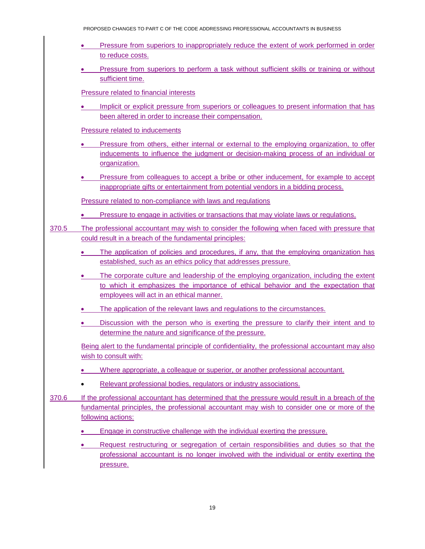- Pressure from superiors to inappropriately reduce the extent of work performed in order to reduce costs.
- Pressure from superiors to perform a task without sufficient skills or training or without sufficient time.

Pressure related to financial interests

Implicit or explicit pressure from superiors or colleagues to present information that has been altered in order to increase their compensation.

Pressure related to inducements

- Pressure from others, either internal or external to the employing organization, to offer inducements to influence the judgment or decision-making process of an individual or organization.
- Pressure from colleagues to accept a bribe or other inducement, for example to accept inappropriate gifts or entertainment from potential vendors in a bidding process.

Pressure related to non-compliance with laws and regulations

- Pressure to engage in activities or transactions that may violate laws or regulations.
- 370.5 The professional accountant may wish to consider the following when faced with pressure that could result in a breach of the fundamental principles:
	- The application of policies and procedures, if any, that the employing organization has established, such as an ethics policy that addresses pressure.
	- The corporate culture and leadership of the employing organization, including the extent to which it emphasizes the importance of ethical behavior and the expectation that employees will act in an ethical manner.
	- The application of the relevant laws and regulations to the circumstances.
	- Discussion with the person who is exerting the pressure to clarify their intent and to determine the nature and significance of the pressure.

Being alert to the fundamental principle of confidentiality, the professional accountant may also wish to consult with:

- Where appropriate, a colleague or superior, or another professional accountant.
- Relevant professional bodies, regulators or industry associations.
- 370.6 If the professional accountant has determined that the pressure would result in a breach of the fundamental principles, the professional accountant may wish to consider one or more of the following actions:
	- **Engage in constructive challenge with the individual exerting the pressure.**
	- Request restructuring or segregation of certain responsibilities and duties so that the professional accountant is no longer involved with the individual or entity exerting the pressure.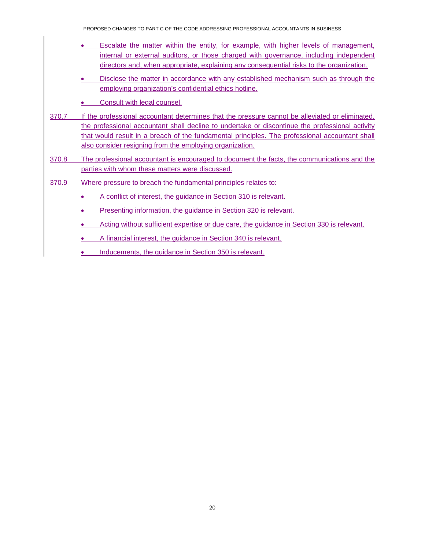PROPOSED CHANGES TO PART C OF THE CODE ADDRESSING PROFESSIONAL ACCOUNTANTS IN BUSINESS

- Escalate the matter within the entity, for example, with higher levels of management, internal or external auditors, or those charged with governance, including independent directors and, when appropriate, explaining any consequential risks to the organization.
- Disclose the matter in accordance with any established mechanism such as through the employing organization's confidential ethics hotline.
- Consult with legal counsel.
- 370.7 If the professional accountant determines that the pressure cannot be alleviated or eliminated, the professional accountant shall decline to undertake or discontinue the professional activity that would result in a breach of the fundamental principles. The professional accountant shall also consider resigning from the employing organization.
- 370.8 The professional accountant is encouraged to document the facts, the communications and the parties with whom these matters were discussed.
- 370.9 Where pressure to breach the fundamental principles relates to:
	- A conflict of interest, the guidance in Section 310 is relevant.
	- Presenting information, the guidance in Section 320 is relevant.
	- Acting without sufficient expertise or due care, the guidance in Section 330 is relevant.
	- A financial interest, the guidance in Section 340 is relevant.
	- Inducements, the guidance in Section 350 is relevant.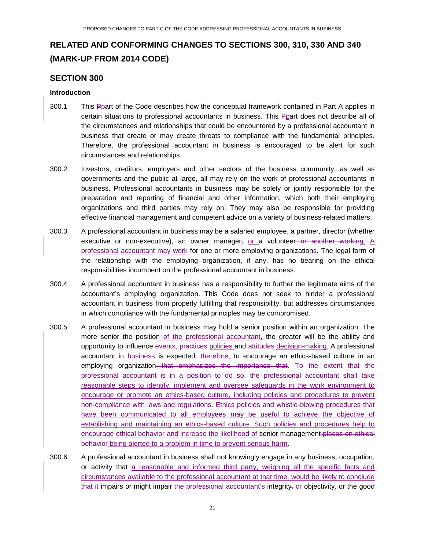# **RELATED AND CONFORMING CHANGES TO SECTIONS 300, 310, 330 AND 340 (MARK-UP FROM 2014 CODE)**

## <span id="page-20-0"></span>**SECTION 300**

#### **Introduction**

- 300.1 This Ppart of the Code describes how the conceptual framework contained in Part A applies in certain situations to professional accountants in business. This Ppart does not describe all of the circumstances and relationships that could be encountered by a professional accountant in business that create or may create threats to compliance with the fundamental principles. Therefore, the professional accountant in business is encouraged to be alert for such circumstances and relationships.
- 300.2 Investors, creditors, employers and other sectors of the business community, as well as governments and the public at large, all may rely on the work of professional accountants in business. Professional accountants in business may be solely or jointly responsible for the preparation and reporting of financial and other information, which both their employing organizations and third parties may rely on. They may also be responsible for providing effective financial management and competent advice on a variety of business-related matters.
- 300.3 A professional accountant in business may be a salaried employee, a partner, director (whether executive or non-executive), an owner manager<sub> $\tau$ </sub> or a volunteer-or another working. A professional accountant may work for one or more employing organizations. The legal form of the relationship with the employing organization, if any, has no bearing on the ethical responsibilities incumbent on the professional accountant in business.
- 300.4 A professional accountant in business has a responsibility to further the legitimate aims of the accountant's employing organization. This Code does not seek to hinder a professional accountant in business from properly fulfilling that responsibility, but addresses circumstances in which compliance with the fundamental principles may be compromised.
- 300.5 A professional accountant in business may hold a senior position within an organization. The more senior the position of the professional accountant, the greater will be the ability and opportunity to influence events, practices policies and attitudes decision-making. A professional accountant in business is expected, therefore, to encourage an ethics-based culture in an employing organization that emphasizes the importance that. To the extent that the professional accountant is in a position to do so, the professional accountant shall take reasonable steps to identify, implement and oversee safeguards in the work environment to encourage or promote an ethics-based culture, including policies and procedures to prevent non-compliance with laws and regulations. Ethics policies and whistle-blowing procedures that have been communicated to all employees may be useful to achieve the objective of establishing and maintaining an ethics-based culture. Such policies and procedures help to encourage ethical behavior and increase the likelihood of senior management places on ethical behavior being alerted to a problem in time to prevent serious harm.
- 300.6 A professional accountant in business shall not knowingly engage in any business, occupation, or activity that a reasonable and informed third party, weighing all the specific facts and circumstances available to the professional accountant at that time, would be likely to conclude that it impairs or might impair the professional accountant's integrity, or objectivity, or the good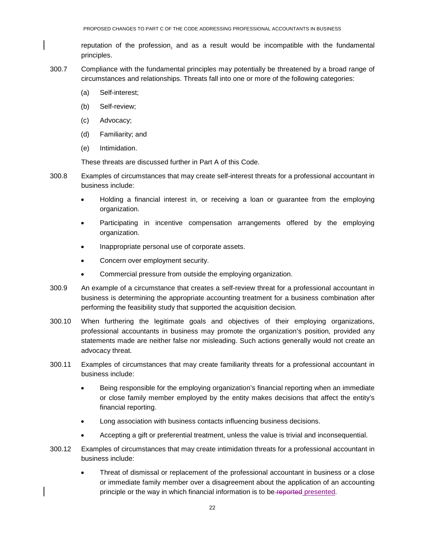reputation of the profession, and as a result would be incompatible with the fundamental principles.

- 300.7 Compliance with the fundamental principles may potentially be threatened by a broad range of circumstances and relationships. Threats fall into one or more of the following categories:
	- (a) Self-interest;
	- (b) Self-review;
	- (c) Advocacy;
	- (d) Familiarity; and
	- (e) Intimidation.

These threats are discussed further in Part A of this Code.

- 300.8 Examples of circumstances that may create self-interest threats for a professional accountant in business include:
	- Holding a financial interest in, or receiving a loan or guarantee from the employing organization.
	- Participating in incentive compensation arrangements offered by the employing organization.
	- Inappropriate personal use of corporate assets.
	- Concern over employment security.
	- Commercial pressure from outside the employing organization.
- 300.9 An example of a circumstance that creates a self-review threat for a professional accountant in business is determining the appropriate accounting treatment for a business combination after performing the feasibility study that supported the acquisition decision.
- 300.10 When furthering the legitimate goals and objectives of their employing organizations, professional accountants in business may promote the organization's position, provided any statements made are neither false nor misleading. Such actions generally would not create an advocacy threat.
- 300.11 Examples of circumstances that may create familiarity threats for a professional accountant in business include:
	- Being responsible for the employing organization's financial reporting when an immediate or close family member employed by the entity makes decisions that affect the entity's financial reporting.
	- Long association with business contacts influencing business decisions.
	- Accepting a gift or preferential treatment, unless the value is trivial and inconsequential.
- 300.12 Examples of circumstances that may create intimidation threats for a professional accountant in business include:
	- Threat of dismissal or replacement of the professional accountant in business or a close or immediate family member over a disagreement about the application of an accounting principle or the way in which financial information is to be-reported presented.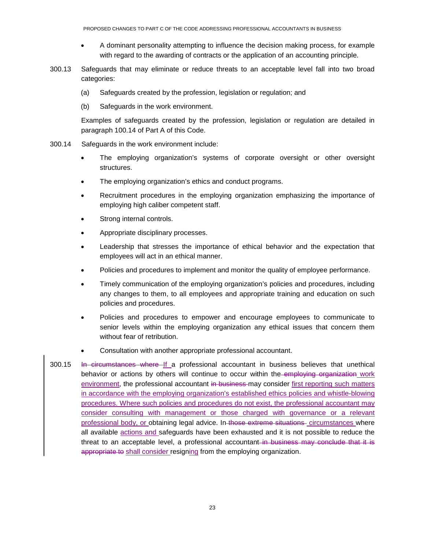- A dominant personality attempting to influence the decision making process, for example with regard to the awarding of contracts or the application of an accounting principle.
- 300.13 Safeguards that may eliminate or reduce threats to an acceptable level fall into two broad categories:
	- (a) Safeguards created by the profession, legislation or regulation; and
	- (b) Safeguards in the work environment.

Examples of safeguards created by the profession, legislation or regulation are detailed in paragraph 100.14 of Part A of this Code.

- 300.14 Safeguards in the work environment include:
	- The employing organization's systems of corporate oversight or other oversight structures.
	- The employing organization's ethics and conduct programs.
	- Recruitment procedures in the employing organization emphasizing the importance of employing high caliber competent staff.
	- Strong internal controls.
	- Appropriate disciplinary processes.
	- Leadership that stresses the importance of ethical behavior and the expectation that employees will act in an ethical manner.
	- Policies and procedures to implement and monitor the quality of employee performance.
	- Timely communication of the employing organization's policies and procedures, including any changes to them, to all employees and appropriate training and education on such policies and procedures.
	- Policies and procedures to empower and encourage employees to communicate to senior levels within the employing organization any ethical issues that concern them without fear of retribution.
	- Consultation with another appropriate professional accountant.
- 300.15 In circumstances where If a professional accountant in business believes that unethical behavior or actions by others will continue to occur within the employing organization work environment, the professional accountant in business may consider first reporting such matters in accordance with the employing organization's established ethics policies and whistle-blowing procedures. Where such policies and procedures do not exist, the professional accountant may consider consulting with management or those charged with governance or a relevant professional body, or obtaining legal advice. In those extreme situations circumstances where all available actions and safeguards have been exhausted and it is not possible to reduce the threat to an acceptable level, a professional accountant in business may conclude that it is appropriate to shall consider resigning from the employing organization.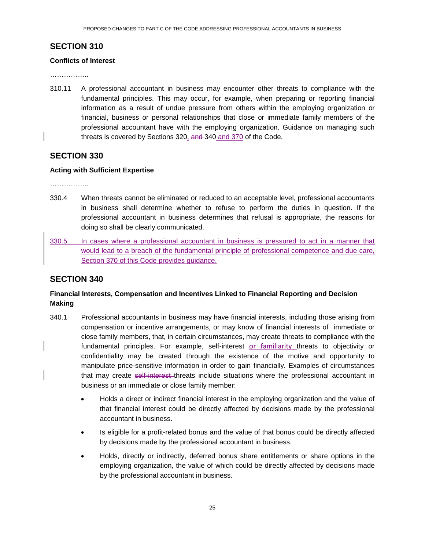# <span id="page-24-0"></span>**SECTION 310**

#### **Conflicts of Interest**

……………..

310.11 A professional accountant in business may encounter other threats to compliance with the fundamental principles. This may occur, for example, when preparing or reporting financial information as a result of undue pressure from others within the employing organization or financial, business or personal relationships that close or immediate family members of the professional accountant have with the employing organization. Guidance on managing such threats is covered by Sections 320, and 340 and 370 of the Code.

## <span id="page-24-1"></span>**SECTION 330**

#### **Acting with Sufficient Expertise**

………………

- 330.4 When threats cannot be eliminated or reduced to an acceptable level, professional accountants in business shall determine whether to refuse to perform the duties in question. If the professional accountant in business determines that refusal is appropriate, the reasons for doing so shall be clearly communicated.
- 330.5 In cases where a professional accountant in business is pressured to act in a manner that would lead to a breach of the fundamental principle of professional competence and due care, Section 370 of this Code provides guidance.

# <span id="page-24-2"></span>**SECTION 340**

## **Financial Interests, Compensation and Incentives Linked to Financial Reporting and Decision Making**

- 340.1 Professional accountants in business may have financial interests, including those arising from compensation or incentive arrangements, or may know of financial interests of immediate or close family members, that, in certain circumstances, may create threats to compliance with the fundamental principles. For example, self-interest or familiarity threats to objectivity or confidentiality may be created through the existence of the motive and opportunity to manipulate price-sensitive information in order to gain financially. Examples of circumstances that may create self-interest threats include situations where the professional accountant in business or an immediate or close family member:
	- Holds a direct or indirect financial interest in the employing organization and the value of that financial interest could be directly affected by decisions made by the professional accountant in business.
	- Is eligible for a profit-related bonus and the value of that bonus could be directly affected by decisions made by the professional accountant in business.
	- Holds, directly or indirectly, deferred bonus share entitlements or share options in the employing organization, the value of which could be directly affected by decisions made by the professional accountant in business.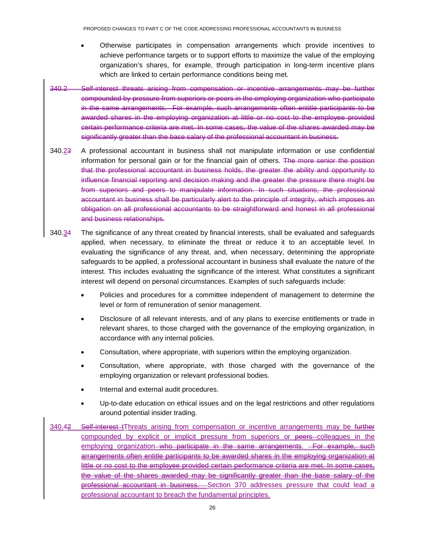- Otherwise participates in compensation arrangements which provide incentives to achieve performance targets or to support efforts to maximize the value of the employing organization's shares, for example, through participation in long-term incentive plans which are linked to certain performance conditions being met.
- 340.2 Self-interest threats arising from compensation or incentive arrangements may be further compounded by pressure from superiors or peers in the employing organization who participate in the same arrangements. For example, such arrangements often entitle participants to be awarded shares in the employing organization at little or no cost to the employee provided certain performance criteria are met. In some cases, the value of the shares awarded may be significantly greater than the base salary of the professional accountant in business.
- 340.23 A professional accountant in business shall not manipulate information or use confidential information for personal gain or for the financial gain of others. The more senior the position that the professional accountant in business holds, the greater the ability and opportunity to influence financial reporting and decision making and the greater the pressure there might be from superiors and peers to manipulate information. In such situations, the professional accountant in business shall be particularly alert to the principle of integrity, which imposes an obligation on all professional accountants to be straightforward and honest in all professional and business relationships.
- 340.34 The significance of any threat created by financial interests, shall be evaluated and safeguards applied, when necessary, to eliminate the threat or reduce it to an acceptable level. In evaluating the significance of any threat, and, when necessary, determining the appropriate safeguards to be applied, a professional accountant in business shall evaluate the nature of the interest. This includes evaluating the significance of the interest. What constitutes a significant interest will depend on personal circumstances. Examples of such safeguards include:
	- Policies and procedures for a committee independent of management to determine the level or form of remuneration of senior management.
	- Disclosure of all relevant interests, and of any plans to exercise entitlements or trade in relevant shares, to those charged with the governance of the employing organization, in accordance with any internal policies.
	- Consultation, where appropriate, with superiors within the employing organization.
	- Consultation, where appropriate, with those charged with the governance of the employing organization or relevant professional bodies.
	- Internal and external audit procedures.
	- Up-to-date education on ethical issues and on the legal restrictions and other regulations around potential insider trading.
- 340.42 Self-interest tThreats arising from compensation or incentive arrangements may be further compounded by explicit or implicit pressure from superiors or peers colleagues in the employing organization who participate in the same arrangements. For example, such arrangements often entitle participants to be awarded shares in the employing organization at little or no cost to the employee provided certain performance criteria are met. In some cases, the value of the shares awarded may be significantly greater than the base salary of the professional accountant in business. Section 370 addresses pressure that could lead a professional accountant to breach the fundamental principles.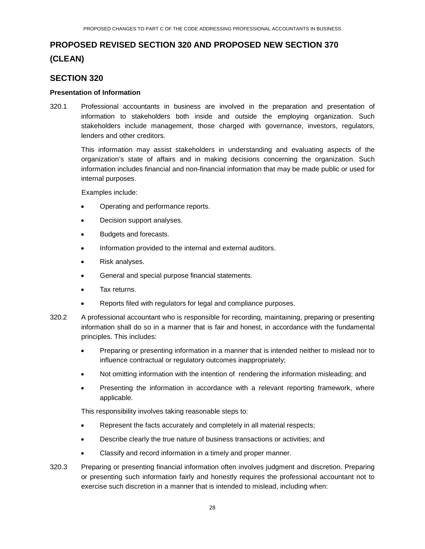# **PROPOSED REVISED SECTION 320 AND PROPOSED NEW SECTION 370 (CLEAN)**

## <span id="page-27-0"></span>**SECTION 320**

#### **Presentation of Information**

320.1 Professional accountants in business are involved in the preparation and presentation of information to stakeholders both inside and outside the employing organization. Such stakeholders include management, those charged with governance, investors, regulators, lenders and other creditors*.*

This information may assist stakeholders in understanding and evaluating aspects of the organization's state of affairs and in making decisions concerning the organization. Such information includes financial and non-financial information that may be made public or used for internal purposes.

Examples include:

- Operating and performance reports.
- Decision support analyses.
- Budgets and forecasts.
- Information provided to the internal and external auditors.
- Risk analyses.
- General and special purpose financial statements.
- Tax returns.
- Reports filed with regulators for legal and compliance purposes.
- 320.2 A professional accountant who is responsible for recording, maintaining, preparing or presenting information shall do so in a manner that is fair and honest, in accordance with the fundamental principles. This includes:
	- Preparing or presenting information in a manner that is intended neither to mislead nor to influence contractual or regulatory outcomes inappropriately;
	- Not omitting information with the intention of rendering the information misleading; and
	- Presenting the information in accordance with a relevant reporting framework, where applicable.

This responsibility involves taking reasonable steps to:

- Represent the facts accurately and completely in all material respects;
- Describe clearly the true nature of business transactions or activities; and
- Classify and record information in a timely and proper manner.
- 320.3 Preparing or presenting financial information often involves judgment and discretion. Preparing or presenting such information fairly and honestly requires the professional accountant not to exercise such discretion in a manner that is intended to mislead, including when: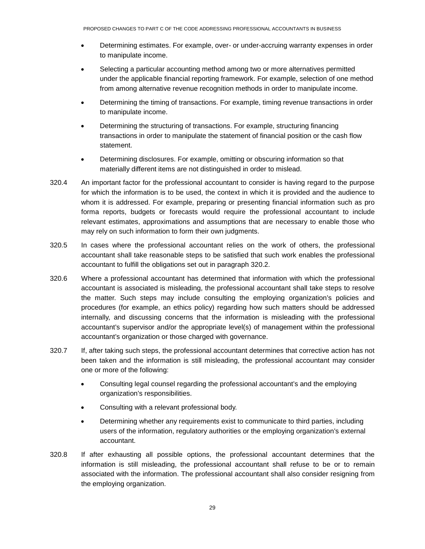- Determining estimates. For example, over- or under-accruing warranty expenses in order to manipulate income.
- Selecting a particular accounting method among two or more alternatives permitted under the applicable financial reporting framework. For example, selection of one method from among alternative revenue recognition methods in order to manipulate income.
- Determining the timing of transactions. For example, timing revenue transactions in order to manipulate income.
- Determining the structuring of transactions. For example, structuring financing transactions in order to manipulate the statement of financial position or the cash flow statement.
- Determining disclosures. For example, omitting or obscuring information so that materially different items are not distinguished in order to mislead.
- 320.4 An important factor for the professional accountant to consider is having regard to the purpose for which the information is to be used, the context in which it is provided and the audience to whom it is addressed. For example, preparing or presenting financial information such as pro forma reports, budgets or forecasts would require the professional accountant to include relevant estimates, approximations and assumptions that are necessary to enable those who may rely on such information to form their own judgments.
- 320.5 In cases where the professional accountant relies on the work of others, the professional accountant shall take reasonable steps to be satisfied that such work enables the professional accountant to fulfill the obligations set out in paragraph 320.2.
- 320.6 Where a professional accountant has determined that information with which the professional accountant is associated is misleading, the professional accountant shall take steps to resolve the matter. Such steps may include consulting the employing organization's policies and procedures (for example, an ethics policy) regarding how such matters should be addressed internally, and discussing concerns that the information is misleading with the professional accountant's supervisor and/or the appropriate level(s) of management within the professional accountant's organization or those charged with governance.
- 320.7 If, after taking such steps, the professional accountant determines that corrective action has not been taken and the information is still misleading, the professional accountant may consider one or more of the following:
	- Consulting legal counsel regarding the professional accountant's and the employing organization's responsibilities.
	- Consulting with a relevant professional body.
	- Determining whether any requirements exist to communicate to third parties, including users of the information, regulatory authorities or the employing organization's external accountant.
- 320.8 If after exhausting all possible options, the professional accountant determines that the information is still misleading, the professional accountant shall refuse to be or to remain associated with the information. The professional accountant shall also consider resigning from the employing organization.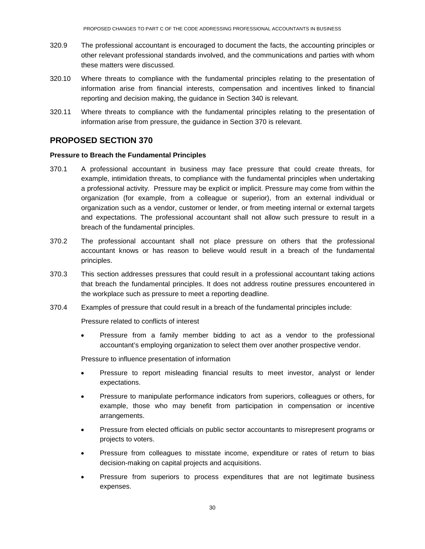- 320.9 The professional accountant is encouraged to document the facts, the accounting principles or other relevant professional standards involved, and the communications and parties with whom these matters were discussed.
- 320.10 Where threats to compliance with the fundamental principles relating to the presentation of information arise from financial interests, compensation and incentives linked to financial reporting and decision making, the guidance in Section 340 is relevant.
- 320.11 Where threats to compliance with the fundamental principles relating to the presentation of information arise from pressure, the guidance in Section 370 is relevant.

## <span id="page-29-0"></span>**PROPOSED SECTION 370**

#### **Pressure to Breach the Fundamental Principles**

- 370.1 A professional accountant in business may face pressure that could create threats, for example, intimidation threats, to compliance with the fundamental principles when undertaking a professional activity. Pressure may be explicit or implicit. Pressure may come from within the organization (for example, from a colleague or superior), from an external individual or organization such as a vendor, customer or lender, or from meeting internal or external targets and expectations. The professional accountant shall not allow such pressure to result in a breach of the fundamental principles.
- 370.2 The professional accountant shall not place pressure on others that the professional accountant knows or has reason to believe would result in a breach of the fundamental principles.
- 370.3 This section addresses pressures that could result in a professional accountant taking actions that breach the fundamental principles. It does not address routine pressures encountered in the workplace such as pressure to meet a reporting deadline.
- 370.4 Examples of pressure that could result in a breach of the fundamental principles include:

Pressure related to conflicts of interest

• Pressure from a family member bidding to act as a vendor to the professional accountant's employing organization to select them over another prospective vendor.

Pressure to influence presentation of information

- Pressure to report misleading financial results to meet investor, analyst or lender expectations.
- Pressure to manipulate performance indicators from superiors, colleagues or others, for example, those who may benefit from participation in compensation or incentive arrangements.
- Pressure from elected officials on public sector accountants to misrepresent programs or projects to voters.
- Pressure from colleagues to misstate income, expenditure or rates of return to bias decision-making on capital projects and acquisitions.
- Pressure from superiors to process expenditures that are not legitimate business expenses.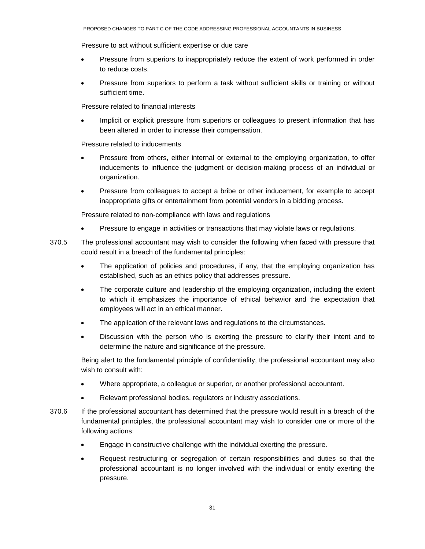Pressure to act without sufficient expertise or due care

- Pressure from superiors to inappropriately reduce the extent of work performed in order to reduce costs.
- Pressure from superiors to perform a task without sufficient skills or training or without sufficient time.

Pressure related to financial interests

Implicit or explicit pressure from superiors or colleagues to present information that has been altered in order to increase their compensation.

Pressure related to inducements

- Pressure from others, either internal or external to the employing organization, to offer inducements to influence the judgment or decision-making process of an individual or organization.
- Pressure from colleagues to accept a bribe or other inducement, for example to accept inappropriate gifts or entertainment from potential vendors in a bidding process.

Pressure related to non-compliance with laws and regulations

- Pressure to engage in activities or transactions that may violate laws or regulations.
- 370.5 The professional accountant may wish to consider the following when faced with pressure that could result in a breach of the fundamental principles:
	- The application of policies and procedures, if any, that the employing organization has established, such as an ethics policy that addresses pressure.
	- The corporate culture and leadership of the employing organization, including the extent to which it emphasizes the importance of ethical behavior and the expectation that employees will act in an ethical manner.
	- The application of the relevant laws and regulations to the circumstances.
	- Discussion with the person who is exerting the pressure to clarify their intent and to determine the nature and significance of the pressure.

Being alert to the fundamental principle of confidentiality, the professional accountant may also wish to consult with:

- Where appropriate, a colleague or superior, or another professional accountant.
- Relevant professional bodies, regulators or industry associations.
- 370.6 If the professional accountant has determined that the pressure would result in a breach of the fundamental principles, the professional accountant may wish to consider one or more of the following actions:
	- Engage in constructive challenge with the individual exerting the pressure.
	- Request restructuring or segregation of certain responsibilities and duties so that the professional accountant is no longer involved with the individual or entity exerting the pressure.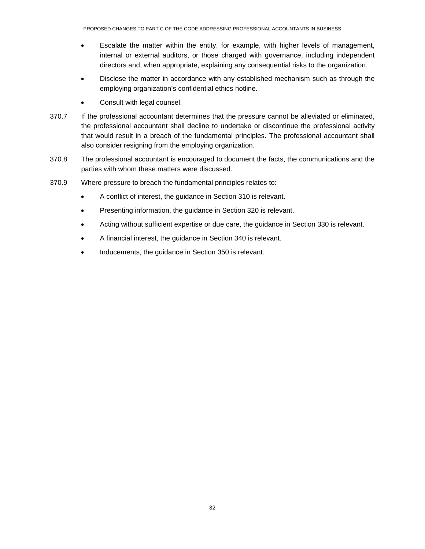- Escalate the matter within the entity, for example, with higher levels of management, internal or external auditors, or those charged with governance, including independent directors and, when appropriate, explaining any consequential risks to the organization.
- Disclose the matter in accordance with any established mechanism such as through the employing organization's confidential ethics hotline.
- Consult with legal counsel.
- 370.7 If the professional accountant determines that the pressure cannot be alleviated or eliminated, the professional accountant shall decline to undertake or discontinue the professional activity that would result in a breach of the fundamental principles. The professional accountant shall also consider resigning from the employing organization.
- 370.8 The professional accountant is encouraged to document the facts, the communications and the parties with whom these matters were discussed.
- 370.9 Where pressure to breach the fundamental principles relates to:
	- A conflict of interest, the guidance in Section 310 is relevant.
	- Presenting information, the guidance in Section 320 is relevant.
	- Acting without sufficient expertise or due care, the guidance in Section 330 is relevant.
	- A financial interest, the guidance in Section 340 is relevant.
	- Inducements, the guidance in Section 350 is relevant.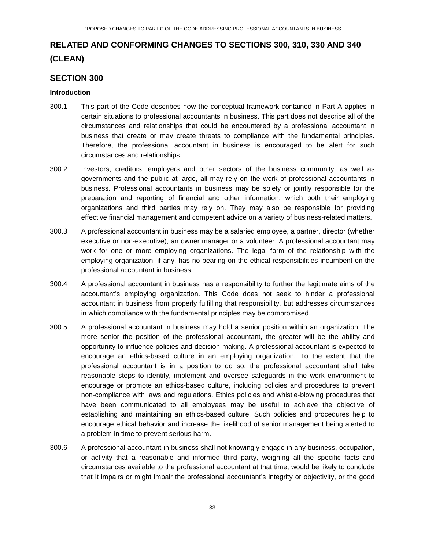# **RELATED AND CONFORMING CHANGES TO SECTIONS 300, 310, 330 AND 340 (CLEAN)**

## <span id="page-32-0"></span>**SECTION 300**

#### **Introduction**

- 300.1 This part of the Code describes how the conceptual framework contained in Part A applies in certain situations to professional accountants in business. This part does not describe all of the circumstances and relationships that could be encountered by a professional accountant in business that create or may create threats to compliance with the fundamental principles. Therefore, the professional accountant in business is encouraged to be alert for such circumstances and relationships.
- 300.2 Investors, creditors, employers and other sectors of the business community, as well as governments and the public at large, all may rely on the work of professional accountants in business. Professional accountants in business may be solely or jointly responsible for the preparation and reporting of financial and other information, which both their employing organizations and third parties may rely on. They may also be responsible for providing effective financial management and competent advice on a variety of business-related matters.
- 300.3 A professional accountant in business may be a salaried employee, a partner, director (whether executive or non-executive), an owner manager or a volunteer. A professional accountant may work for one or more employing organizations. The legal form of the relationship with the employing organization, if any, has no bearing on the ethical responsibilities incumbent on the professional accountant in business.
- 300.4 A professional accountant in business has a responsibility to further the legitimate aims of the accountant's employing organization. This Code does not seek to hinder a professional accountant in business from properly fulfilling that responsibility, but addresses circumstances in which compliance with the fundamental principles may be compromised.
- 300.5 A professional accountant in business may hold a senior position within an organization. The more senior the position of the professional accountant, the greater will be the ability and opportunity to influence policies and decision-making. A professional accountant is expected to encourage an ethics-based culture in an employing organization. To the extent that the professional accountant is in a position to do so, the professional accountant shall take reasonable steps to identify, implement and oversee safeguards in the work environment to encourage or promote an ethics-based culture, including policies and procedures to prevent non-compliance with laws and regulations. Ethics policies and whistle-blowing procedures that have been communicated to all employees may be useful to achieve the objective of establishing and maintaining an ethics-based culture. Such policies and procedures help to encourage ethical behavior and increase the likelihood of senior management being alerted to a problem in time to prevent serious harm.
- 300.6 A professional accountant in business shall not knowingly engage in any business, occupation, or activity that a reasonable and informed third party, weighing all the specific facts and circumstances available to the professional accountant at that time, would be likely to conclude that it impairs or might impair the professional accountant's integrity or objectivity, or the good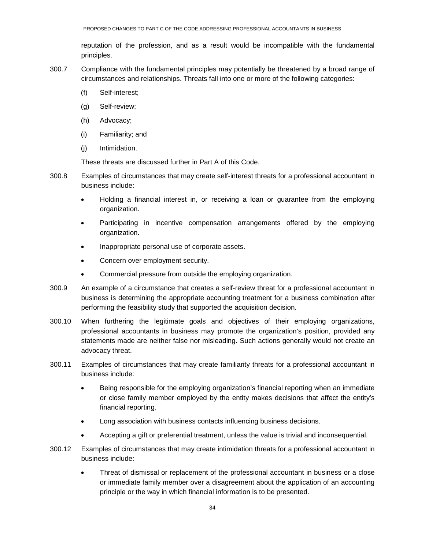reputation of the profession, and as a result would be incompatible with the fundamental principles.

- 300.7 Compliance with the fundamental principles may potentially be threatened by a broad range of circumstances and relationships. Threats fall into one or more of the following categories:
	- (f) Self-interest;
	- (g) Self-review;
	- (h) Advocacy;
	- (i) Familiarity; and
	- (j) Intimidation.

These threats are discussed further in Part A of this Code.

- 300.8 Examples of circumstances that may create self-interest threats for a professional accountant in business include:
	- Holding a financial interest in, or receiving a loan or guarantee from the employing organization.
	- Participating in incentive compensation arrangements offered by the employing organization.
	- Inappropriate personal use of corporate assets.
	- Concern over employment security.
	- Commercial pressure from outside the employing organization.
- 300.9 An example of a circumstance that creates a self-review threat for a professional accountant in business is determining the appropriate accounting treatment for a business combination after performing the feasibility study that supported the acquisition decision.
- 300.10 When furthering the legitimate goals and objectives of their employing organizations, professional accountants in business may promote the organization's position, provided any statements made are neither false nor misleading. Such actions generally would not create an advocacy threat.
- 300.11 Examples of circumstances that may create familiarity threats for a professional accountant in business include:
	- Being responsible for the employing organization's financial reporting when an immediate or close family member employed by the entity makes decisions that affect the entity's financial reporting.
	- Long association with business contacts influencing business decisions.
	- Accepting a gift or preferential treatment, unless the value is trivial and inconsequential.
- 300.12 Examples of circumstances that may create intimidation threats for a professional accountant in business include:
	- Threat of dismissal or replacement of the professional accountant in business or a close or immediate family member over a disagreement about the application of an accounting principle or the way in which financial information is to be presented.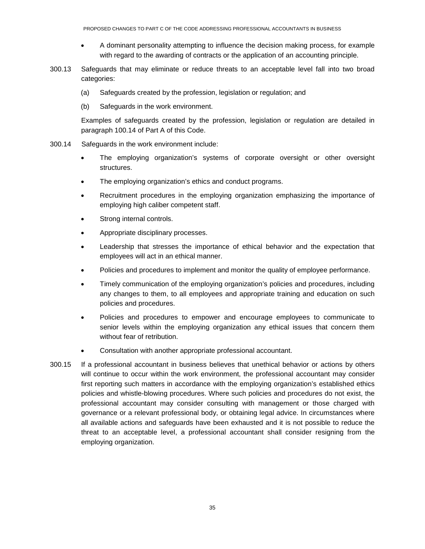- A dominant personality attempting to influence the decision making process, for example with regard to the awarding of contracts or the application of an accounting principle.
- 300.13 Safeguards that may eliminate or reduce threats to an acceptable level fall into two broad categories:
	- (a) Safeguards created by the profession, legislation or regulation; and
	- (b) Safeguards in the work environment.

Examples of safeguards created by the profession, legislation or regulation are detailed in paragraph 100.14 of Part A of this Code.

- 300.14 Safeguards in the work environment include:
	- The employing organization's systems of corporate oversight or other oversight structures.
	- The employing organization's ethics and conduct programs.
	- Recruitment procedures in the employing organization emphasizing the importance of employing high caliber competent staff.
	- Strong internal controls.
	- Appropriate disciplinary processes.
	- Leadership that stresses the importance of ethical behavior and the expectation that employees will act in an ethical manner.
	- Policies and procedures to implement and monitor the quality of employee performance.
	- Timely communication of the employing organization's policies and procedures, including any changes to them, to all employees and appropriate training and education on such policies and procedures.
	- Policies and procedures to empower and encourage employees to communicate to senior levels within the employing organization any ethical issues that concern them without fear of retribution.
	- Consultation with another appropriate professional accountant.
- 300.15 If a professional accountant in business believes that unethical behavior or actions by others will continue to occur within the work environment, the professional accountant may consider first reporting such matters in accordance with the employing organization's established ethics policies and whistle-blowing procedures. Where such policies and procedures do not exist, the professional accountant may consider consulting with management or those charged with governance or a relevant professional body, or obtaining legal advice. In circumstances where all available actions and safeguards have been exhausted and it is not possible to reduce the threat to an acceptable level, a professional accountant shall consider resigning from the employing organization.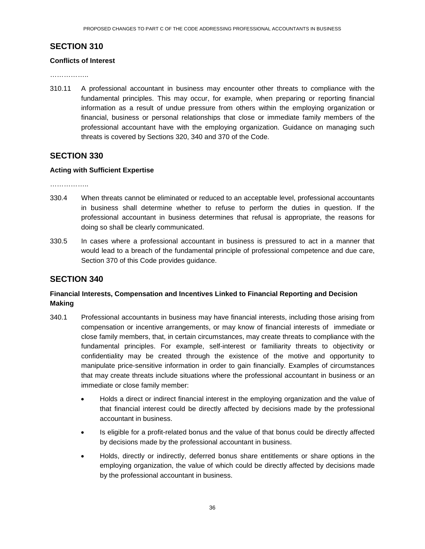# <span id="page-35-0"></span>**SECTION 310**

#### **Conflicts of Interest**

……………..

310.11 A professional accountant in business may encounter other threats to compliance with the fundamental principles. This may occur, for example, when preparing or reporting financial information as a result of undue pressure from others within the employing organization or financial, business or personal relationships that close or immediate family members of the professional accountant have with the employing organization. Guidance on managing such threats is covered by Sections 320, 340 and 370 of the Code.

## <span id="page-35-1"></span>**SECTION 330**

#### **Acting with Sufficient Expertise**

………………

- 330.4 When threats cannot be eliminated or reduced to an acceptable level, professional accountants in business shall determine whether to refuse to perform the duties in question. If the professional accountant in business determines that refusal is appropriate, the reasons for doing so shall be clearly communicated.
- 330.5 In cases where a professional accountant in business is pressured to act in a manner that would lead to a breach of the fundamental principle of professional competence and due care, Section 370 of this Code provides guidance.

# <span id="page-35-2"></span>**SECTION 340**

## **Financial Interests, Compensation and Incentives Linked to Financial Reporting and Decision Making**

- 340.1 Professional accountants in business may have financial interests, including those arising from compensation or incentive arrangements, or may know of financial interests of immediate or close family members, that, in certain circumstances, may create threats to compliance with the fundamental principles. For example, self-interest or familiarity threats to objectivity or confidentiality may be created through the existence of the motive and opportunity to manipulate price-sensitive information in order to gain financially. Examples of circumstances that may create threats include situations where the professional accountant in business or an immediate or close family member:
	- Holds a direct or indirect financial interest in the employing organization and the value of that financial interest could be directly affected by decisions made by the professional accountant in business.
	- Is eligible for a profit-related bonus and the value of that bonus could be directly affected by decisions made by the professional accountant in business.
	- Holds, directly or indirectly, deferred bonus share entitlements or share options in the employing organization, the value of which could be directly affected by decisions made by the professional accountant in business.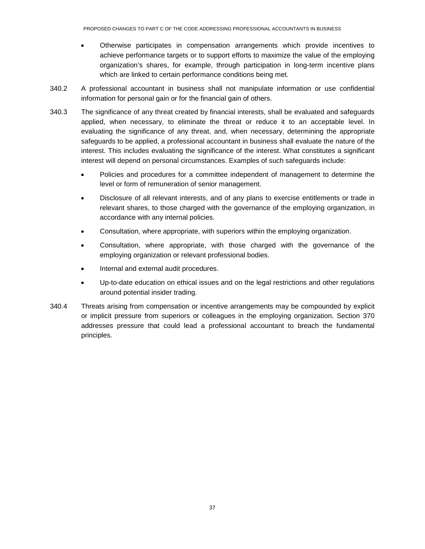- Otherwise participates in compensation arrangements which provide incentives to achieve performance targets or to support efforts to maximize the value of the employing organization's shares, for example, through participation in long-term incentive plans which are linked to certain performance conditions being met.
- 340.2 A professional accountant in business shall not manipulate information or use confidential information for personal gain or for the financial gain of others.
- 340.3 The significance of any threat created by financial interests, shall be evaluated and safeguards applied, when necessary, to eliminate the threat or reduce it to an acceptable level. In evaluating the significance of any threat, and, when necessary, determining the appropriate safeguards to be applied, a professional accountant in business shall evaluate the nature of the interest. This includes evaluating the significance of the interest. What constitutes a significant interest will depend on personal circumstances. Examples of such safeguards include:
	- Policies and procedures for a committee independent of management to determine the level or form of remuneration of senior management.
	- Disclosure of all relevant interests, and of any plans to exercise entitlements or trade in relevant shares, to those charged with the governance of the employing organization, in accordance with any internal policies.
	- Consultation, where appropriate, with superiors within the employing organization.
	- Consultation, where appropriate, with those charged with the governance of the employing organization or relevant professional bodies.
	- Internal and external audit procedures.
	- Up-to-date education on ethical issues and on the legal restrictions and other regulations around potential insider trading.
- 340.4 Threats arising from compensation or incentive arrangements may be compounded by explicit or implicit pressure from superiors or colleagues in the employing organization. Section 370 addresses pressure that could lead a professional accountant to breach the fundamental principles.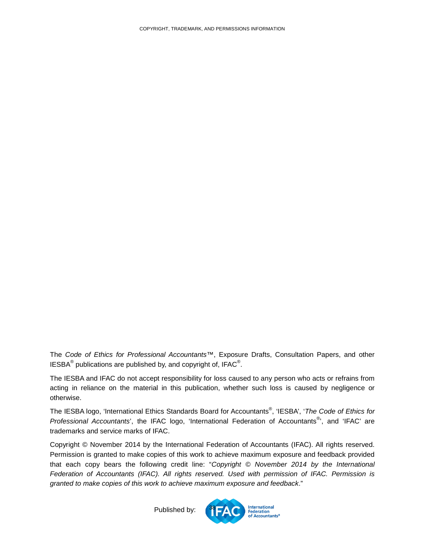<span id="page-37-0"></span>The *Code of Ethics for Professional Accountants™*, Exposure Drafts, Consultation Papers, and other IESBA<sup>®</sup> publications are published by, and copyright of, IFAC<sup>®</sup>.

The IESBA and IFAC do not accept responsibility for loss caused to any person who acts or refrains from acting in reliance on the material in this publication, whether such loss is caused by negligence or otherwise.

The IESBA logo, 'International Ethics Standards Board for Accountants® , 'IESBA', '*The Code of Ethics for*  Professional Accountants', the IFAC logo, 'International Federation of Accountants<sup>®</sup>', and 'IFAC' are trademarks and service marks of IFAC.

Copyright © November 2014 by the International Federation of Accountants (IFAC). All rights reserved. Permission is granted to make copies of this work to achieve maximum exposure and feedback provided that each copy bears the following credit line: "*Copyright © November 2014 by the International Federation of Accountants (IFAC). All rights reserved. Used with permission of IFAC. Permission is granted to make copies of this work to achieve maximum exposure and feedback*."

> **International** Federation<br>of Accountants®